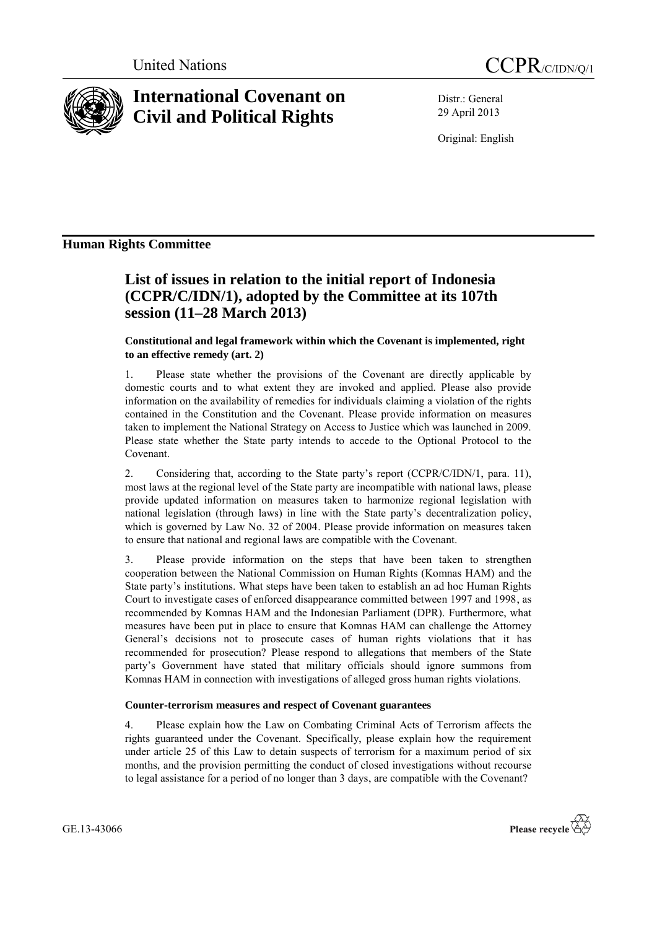



# **International Covenant on Civil and Political Rights**

Distr.: General 29 April 2013

Original: English

### **Human Rights Committee**

## **List of issues in relation to the initial report of Indonesia (CCPR/C/IDN/1), adopted by the Committee at its 107th session (11–28 March 2013)**

#### **Constitutional and legal framework within which the Covenant is implemented, right to an effective remedy (art. 2)**

1. Please state whether the provisions of the Covenant are directly applicable by domestic courts and to what extent they are invoked and applied. Please also provide information on the availability of remedies for individuals claiming a violation of the rights contained in the Constitution and the Covenant. Please provide information on measures taken to implement the National Strategy on Access to Justice which was launched in 2009. Please state whether the State party intends to accede to the Optional Protocol to the Covenant.

2. Considering that, according to the State party's report (CCPR/C/IDN/1, para. 11), most laws at the regional level of the State party are incompatible with national laws, please provide updated information on measures taken to harmonize regional legislation with national legislation (through laws) in line with the State party's decentralization policy, which is governed by Law No. 32 of 2004. Please provide information on measures taken to ensure that national and regional laws are compatible with the Covenant.

3. Please provide information on the steps that have been taken to strengthen cooperation between the National Commission on Human Rights (Komnas HAM) and the State party's institutions. What steps have been taken to establish an ad hoc Human Rights Court to investigate cases of enforced disappearance committed between 1997 and 1998, as recommended by Komnas HAM and the Indonesian Parliament (DPR). Furthermore, what measures have been put in place to ensure that Komnas HAM can challenge the Attorney General's decisions not to prosecute cases of human rights violations that it has recommended for prosecution? Please respond to allegations that members of the State party's Government have stated that military officials should ignore summons from Komnas HAM in connection with investigations of alleged gross human rights violations.

#### **Counter-terrorism measures and respect of Covenant guarantees**

4. Please explain how the Law on Combating Criminal Acts of Terrorism affects the rights guaranteed under the Covenant. Specifically, please explain how the requirement under article 25 of this Law to detain suspects of terrorism for a maximum period of six months, and the provision permitting the conduct of closed investigations without recourse to legal assistance for a period of no longer than 3 days, are compatible with the Covenant?

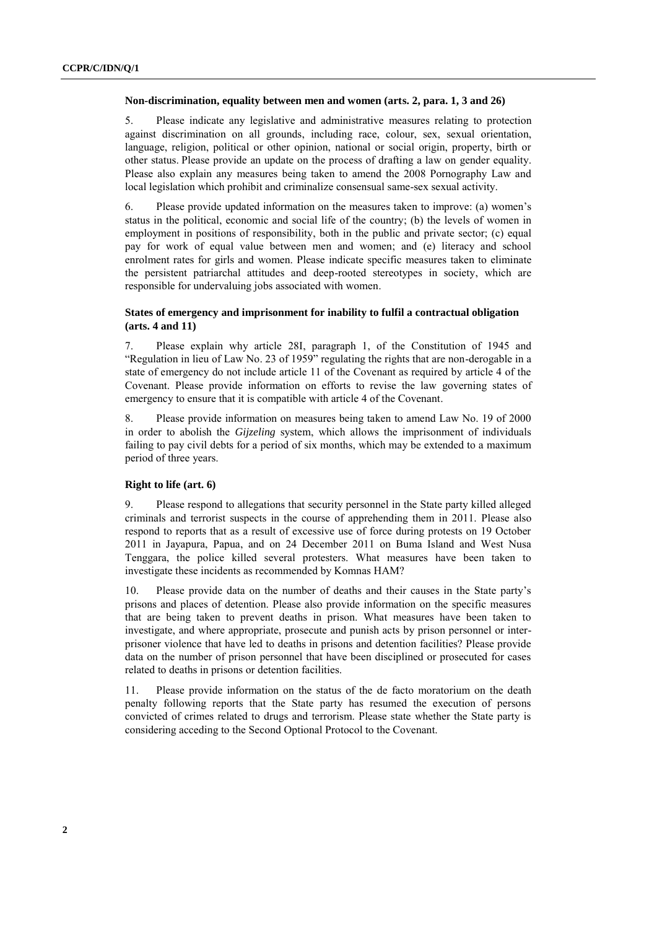#### **Non-discrimination, equality between men and women (arts. 2, para. 1, 3 and 26)**

5. Please indicate any legislative and administrative measures relating to protection against discrimination on all grounds, including race, colour, sex, sexual orientation, language, religion, political or other opinion, national or social origin, property, birth or other status. Please provide an update on the process of drafting a law on gender equality. Please also explain any measures being taken to amend the 2008 Pornography Law and local legislation which prohibit and criminalize consensual same-sex sexual activity.

6. Please provide updated information on the measures taken to improve: (a) women's status in the political, economic and social life of the country; (b) the levels of women in employment in positions of responsibility, both in the public and private sector; (c) equal pay for work of equal value between men and women; and (e) literacy and school enrolment rates for girls and women. Please indicate specific measures taken to eliminate the persistent patriarchal attitudes and deep-rooted stereotypes in society, which are responsible for undervaluing jobs associated with women.

#### **States of emergency and imprisonment for inability to fulfil a contractual obligation (arts. 4 and 11)**

7. Please explain why article 28I, paragraph 1, of the Constitution of 1945 and "Regulation in lieu of Law No. 23 of 1959" regulating the rights that are non-derogable in a state of emergency do not include article 11 of the Covenant as required by article 4 of the Covenant. Please provide information on efforts to revise the law governing states of emergency to ensure that it is compatible with article 4 of the Covenant.

8. Please provide information on measures being taken to amend Law No. 19 of 2000 in order to abolish the *Gijzeling* system, which allows the imprisonment of individuals failing to pay civil debts for a period of six months, which may be extended to a maximum period of three years.

#### **Right to life (art. 6)**

9. Please respond to allegations that security personnel in the State party killed alleged criminals and terrorist suspects in the course of apprehending them in 2011. Please also respond to reports that as a result of excessive use of force during protests on 19 October 2011 in Jayapura, Papua, and on 24 December 2011 on Buma Island and West Nusa Tenggara, the police killed several protesters. What measures have been taken to investigate these incidents as recommended by Komnas HAM?

10. Please provide data on the number of deaths and their causes in the State party's prisons and places of detention. Please also provide information on the specific measures that are being taken to prevent deaths in prison. What measures have been taken to investigate, and where appropriate, prosecute and punish acts by prison personnel or interprisoner violence that have led to deaths in prisons and detention facilities? Please provide data on the number of prison personnel that have been disciplined or prosecuted for cases related to deaths in prisons or detention facilities.

11. Please provide information on the status of the de facto moratorium on the death penalty following reports that the State party has resumed the execution of persons convicted of crimes related to drugs and terrorism. Please state whether the State party is considering acceding to the Second Optional Protocol to the Covenant.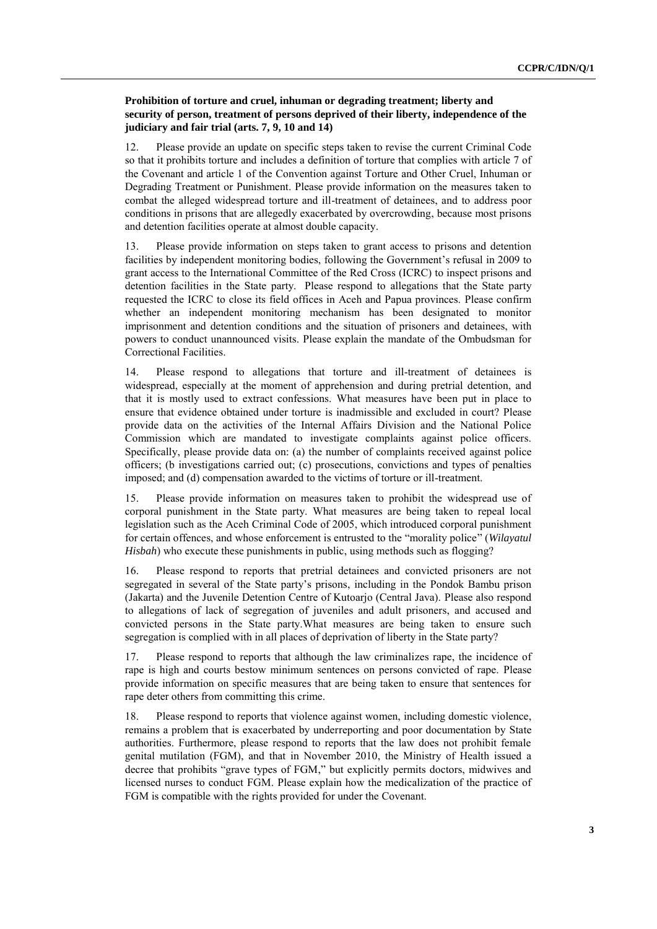#### **Prohibition of torture and cruel, inhuman or degrading treatment; liberty and security of person, treatment of persons deprived of their liberty, independence of the judiciary and fair trial (arts. 7, 9, 10 and 14)**

12. Please provide an update on specific steps taken to revise the current Criminal Code so that it prohibits torture and includes a definition of torture that complies with article 7 of the Covenant and article 1 of the Convention against Torture and Other Cruel, Inhuman or Degrading Treatment or Punishment. Please provide information on the measures taken to combat the alleged widespread torture and ill-treatment of detainees, and to address poor conditions in prisons that are allegedly exacerbated by overcrowding, because most prisons and detention facilities operate at almost double capacity.

13. Please provide information on steps taken to grant access to prisons and detention facilities by independent monitoring bodies, following the Government's refusal in 2009 to grant access to the International Committee of the Red Cross (ICRC) to inspect prisons and detention facilities in the State party. Please respond to allegations that the State party requested the ICRC to close its field offices in Aceh and Papua provinces. Please confirm whether an independent monitoring mechanism has been designated to monitor imprisonment and detention conditions and the situation of prisoners and detainees, with powers to conduct unannounced visits. Please explain the mandate of the Ombudsman for Correctional Facilities.

14. Please respond to allegations that torture and ill-treatment of detainees is widespread, especially at the moment of apprehension and during pretrial detention, and that it is mostly used to extract confessions. What measures have been put in place to ensure that evidence obtained under torture is inadmissible and excluded in court? Please provide data on the activities of the Internal Affairs Division and the National Police Commission which are mandated to investigate complaints against police officers. Specifically, please provide data on: (a) the number of complaints received against police officers; (b investigations carried out; (c) prosecutions, convictions and types of penalties imposed; and (d) compensation awarded to the victims of torture or ill-treatment.

15. Please provide information on measures taken to prohibit the widespread use of corporal punishment in the State party. What measures are being taken to repeal local legislation such as the Aceh Criminal Code of 2005, which introduced corporal punishment for certain offences, and whose enforcement is entrusted to the "morality police" (*Wilayatul Hisbah*) who execute these punishments in public, using methods such as flogging?

16. Please respond to reports that pretrial detainees and convicted prisoners are not segregated in several of the State party's prisons, including in the Pondok Bambu prison (Jakarta) and the Juvenile Detention Centre of Kutoarjo (Central Java). Please also respond to allegations of lack of segregation of juveniles and adult prisoners, and accused and convicted persons in the State party.What measures are being taken to ensure such segregation is complied with in all places of deprivation of liberty in the State party?

17. Please respond to reports that although the law criminalizes rape, the incidence of rape is high and courts bestow minimum sentences on persons convicted of rape. Please provide information on specific measures that are being taken to ensure that sentences for rape deter others from committing this crime.

18. Please respond to reports that violence against women, including domestic violence, remains a problem that is exacerbated by underreporting and poor documentation by State authorities. Furthermore, please respond to reports that the law does not prohibit female genital mutilation (FGM), and that in November 2010, the Ministry of Health issued a decree that prohibits "grave types of FGM," but explicitly permits doctors, midwives and licensed nurses to conduct FGM. Please explain how the medicalization of the practice of FGM is compatible with the rights provided for under the Covenant.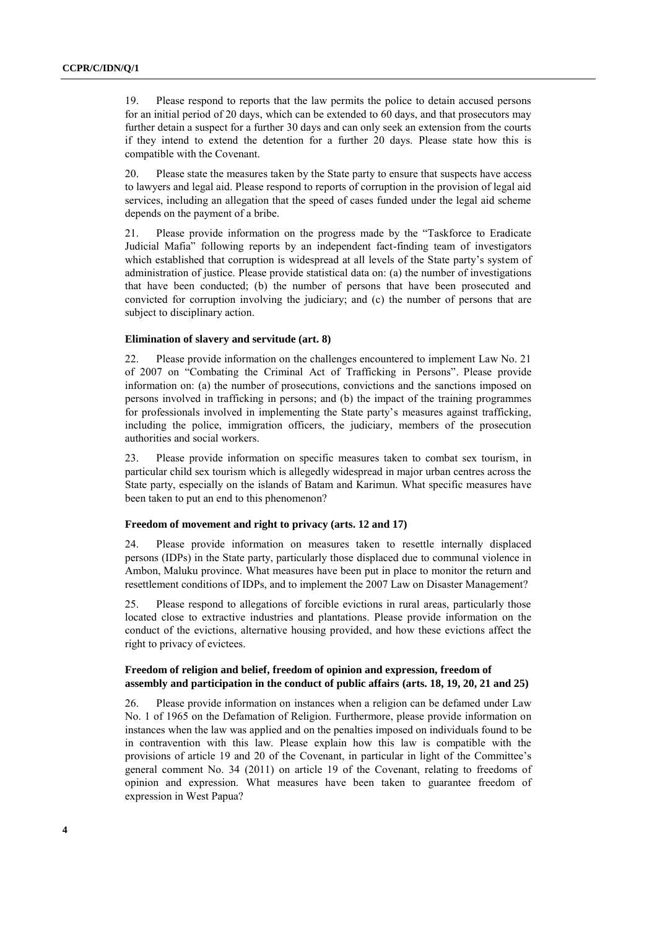19. Please respond to reports that the law permits the police to detain accused persons for an initial period of 20 days, which can be extended to 60 days, and that prosecutors may further detain a suspect for a further 30 days and can only seek an extension from the courts if they intend to extend the detention for a further 20 days. Please state how this is compatible with the Covenant.

20. Please state the measures taken by the State party to ensure that suspects have access to lawyers and legal aid. Please respond to reports of corruption in the provision of legal aid services, including an allegation that the speed of cases funded under the legal aid scheme depends on the payment of a bribe.

21. Please provide information on the progress made by the "Taskforce to Eradicate Judicial Mafia" following reports by an independent fact-finding team of investigators which established that corruption is widespread at all levels of the State party's system of administration of justice. Please provide statistical data on: (a) the number of investigations that have been conducted; (b) the number of persons that have been prosecuted and convicted for corruption involving the judiciary; and (c) the number of persons that are subject to disciplinary action.

#### **Elimination of slavery and servitude (art. 8)**

22. Please provide information on the challenges encountered to implement Law No. 21 of 2007 on "Combating the Criminal Act of Trafficking in Persons". Please provide information on: (a) the number of prosecutions, convictions and the sanctions imposed on persons involved in trafficking in persons; and (b) the impact of the training programmes for professionals involved in implementing the State party's measures against trafficking, including the police, immigration officers, the judiciary, members of the prosecution authorities and social workers.

23. Please provide information on specific measures taken to combat sex tourism, in particular child sex tourism which is allegedly widespread in major urban centres across the State party, especially on the islands of Batam and Karimun. What specific measures have been taken to put an end to this phenomenon?

#### **Freedom of movement and right to privacy (arts. 12 and 17)**

24. Please provide information on measures taken to resettle internally displaced persons (IDPs) in the State party, particularly those displaced due to communal violence in Ambon, Maluku province. What measures have been put in place to monitor the return and resettlement conditions of IDPs, and to implement the 2007 Law on Disaster Management?

25. Please respond to allegations of forcible evictions in rural areas, particularly those located close to extractive industries and plantations. Please provide information on the conduct of the evictions, alternative housing provided, and how these evictions affect the right to privacy of evictees.

#### **Freedom of religion and belief, freedom of opinion and expression, freedom of assembly and participation in the conduct of public affairs (arts. 18, 19, 20, 21 and 25)**

26. Please provide information on instances when a religion can be defamed under Law No. 1 of 1965 on the Defamation of Religion. Furthermore, please provide information on instances when the law was applied and on the penalties imposed on individuals found to be in contravention with this law. Please explain how this law is compatible with the provisions of article 19 and 20 of the Covenant, in particular in light of the Committee's general comment No. 34 (2011) on article 19 of the Covenant, relating to freedoms of opinion and expression. What measures have been taken to guarantee freedom of expression in West Papua?